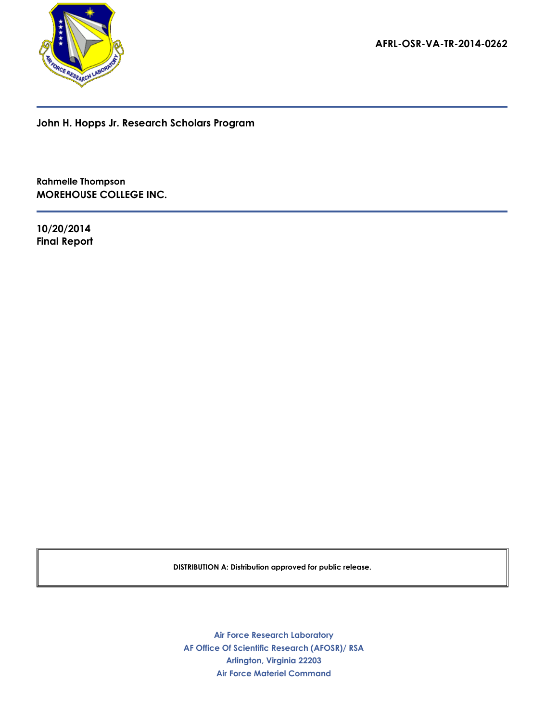

**AFRL-OSR-VA-TR-2014-0262**

**John H. Hopps Jr. Research Scholars Program**

**Rahmelle Thompson MOREHOUSE COLLEGE INC.**

**Final Report 10/20/2014**

**DISTRIBUTION A: Distribution approved for public release.**

**AF Office Of Scientific Research (AFOSR)/ RSA Arlington, Virginia 22203 Air Force Research Laboratory Air Force Materiel Command**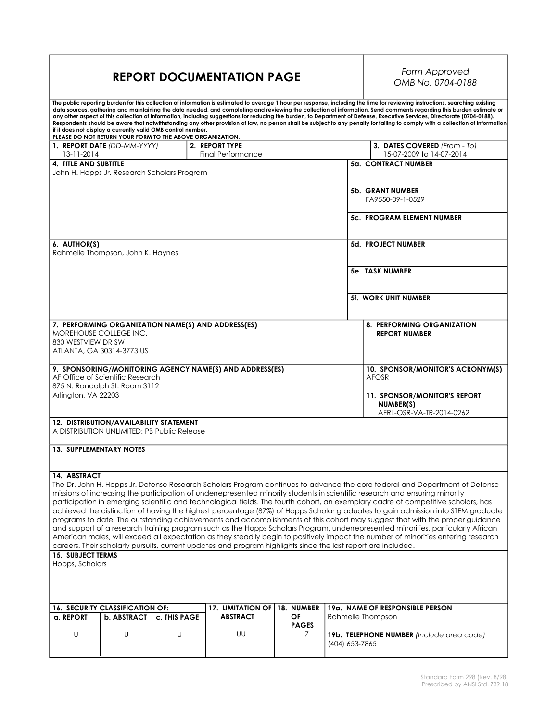### **REPORT DOCUMENTATION PAGE**

# *OMB No. 0704-0188*

| The public reporting burden for this collection of information is estimated to average 1 hour per response, including the time for reviewing instructions, searching existing<br>data sources, gathering and maintaining the data needed, and completing and reviewing the collection of information. Send comments regarding this burden estimate or<br>any other aspect of this collection of information, including suggestions for reducing the burden, to Department of Defense, Executive Services, Directorate (0704-0188).<br>Respondents should be aware that notwithstanding any other provision of law, no person shall be subject to any penalty for failing to comply with a collection of information<br>if it does not display a currently valid OMB control number.<br>PLEASE DO NOT RETURN YOUR FORM TO THE ABOVE ORGANIZATION. |                                         |                                             |                                                         |                  |                |                                           |  |  |  |
|--------------------------------------------------------------------------------------------------------------------------------------------------------------------------------------------------------------------------------------------------------------------------------------------------------------------------------------------------------------------------------------------------------------------------------------------------------------------------------------------------------------------------------------------------------------------------------------------------------------------------------------------------------------------------------------------------------------------------------------------------------------------------------------------------------------------------------------------------|-----------------------------------------|---------------------------------------------|---------------------------------------------------------|------------------|----------------|-------------------------------------------|--|--|--|
|                                                                                                                                                                                                                                                                                                                                                                                                                                                                                                                                                                                                                                                                                                                                                                                                                                                  | 1. REPORT DATE (DD-MM-YYYY)             |                                             | 2. REPORT TYPE                                          |                  |                | 3. DATES COVERED (From - To)              |  |  |  |
| 13-11-2014                                                                                                                                                                                                                                                                                                                                                                                                                                                                                                                                                                                                                                                                                                                                                                                                                                       |                                         |                                             | <b>Final Performance</b>                                |                  |                | 15-07-2009 to 14-07-2014                  |  |  |  |
| <b>4. TITLE AND SUBTITLE</b>                                                                                                                                                                                                                                                                                                                                                                                                                                                                                                                                                                                                                                                                                                                                                                                                                     |                                         |                                             |                                                         |                  |                | 5a. CONTRACT NUMBER                       |  |  |  |
|                                                                                                                                                                                                                                                                                                                                                                                                                                                                                                                                                                                                                                                                                                                                                                                                                                                  |                                         | John H. Hopps Jr. Research Scholars Program |                                                         |                  |                |                                           |  |  |  |
|                                                                                                                                                                                                                                                                                                                                                                                                                                                                                                                                                                                                                                                                                                                                                                                                                                                  |                                         |                                             |                                                         |                  |                |                                           |  |  |  |
|                                                                                                                                                                                                                                                                                                                                                                                                                                                                                                                                                                                                                                                                                                                                                                                                                                                  |                                         |                                             |                                                         |                  |                | 5b. GRANT NUMBER                          |  |  |  |
|                                                                                                                                                                                                                                                                                                                                                                                                                                                                                                                                                                                                                                                                                                                                                                                                                                                  |                                         |                                             |                                                         | FA9550-09-1-0529 |                |                                           |  |  |  |
|                                                                                                                                                                                                                                                                                                                                                                                                                                                                                                                                                                                                                                                                                                                                                                                                                                                  |                                         |                                             |                                                         |                  |                |                                           |  |  |  |
|                                                                                                                                                                                                                                                                                                                                                                                                                                                                                                                                                                                                                                                                                                                                                                                                                                                  |                                         |                                             |                                                         |                  |                | <b>5c. PROGRAM ELEMENT NUMBER</b>         |  |  |  |
|                                                                                                                                                                                                                                                                                                                                                                                                                                                                                                                                                                                                                                                                                                                                                                                                                                                  |                                         |                                             |                                                         |                  |                |                                           |  |  |  |
| 6. AUTHOR(S)                                                                                                                                                                                                                                                                                                                                                                                                                                                                                                                                                                                                                                                                                                                                                                                                                                     |                                         |                                             |                                                         |                  |                | <b>5d. PROJECT NUMBER</b>                 |  |  |  |
|                                                                                                                                                                                                                                                                                                                                                                                                                                                                                                                                                                                                                                                                                                                                                                                                                                                  | Rahmelle Thompson, John K. Haynes       |                                             |                                                         |                  |                |                                           |  |  |  |
|                                                                                                                                                                                                                                                                                                                                                                                                                                                                                                                                                                                                                                                                                                                                                                                                                                                  |                                         |                                             |                                                         |                  |                |                                           |  |  |  |
|                                                                                                                                                                                                                                                                                                                                                                                                                                                                                                                                                                                                                                                                                                                                                                                                                                                  |                                         |                                             |                                                         |                  |                | 5e. TASK NUMBER                           |  |  |  |
|                                                                                                                                                                                                                                                                                                                                                                                                                                                                                                                                                                                                                                                                                                                                                                                                                                                  |                                         |                                             |                                                         |                  |                |                                           |  |  |  |
|                                                                                                                                                                                                                                                                                                                                                                                                                                                                                                                                                                                                                                                                                                                                                                                                                                                  |                                         |                                             |                                                         |                  |                | <b>5f. WORK UNIT NUMBER</b>               |  |  |  |
|                                                                                                                                                                                                                                                                                                                                                                                                                                                                                                                                                                                                                                                                                                                                                                                                                                                  |                                         |                                             | 7. PERFORMING ORGANIZATION NAME(S) AND ADDRESS(ES)      |                  |                | 8. PERFORMING ORGANIZATION                |  |  |  |
|                                                                                                                                                                                                                                                                                                                                                                                                                                                                                                                                                                                                                                                                                                                                                                                                                                                  | MOREHOUSE COLLEGE INC.                  |                                             |                                                         |                  |                | <b>REPORT NUMBER</b>                      |  |  |  |
| 830 WESTVIEW DR SW                                                                                                                                                                                                                                                                                                                                                                                                                                                                                                                                                                                                                                                                                                                                                                                                                               |                                         |                                             |                                                         |                  |                |                                           |  |  |  |
|                                                                                                                                                                                                                                                                                                                                                                                                                                                                                                                                                                                                                                                                                                                                                                                                                                                  | ATLANTA, GA 30314-3773 US               |                                             |                                                         |                  |                |                                           |  |  |  |
|                                                                                                                                                                                                                                                                                                                                                                                                                                                                                                                                                                                                                                                                                                                                                                                                                                                  |                                         |                                             |                                                         |                  |                |                                           |  |  |  |
|                                                                                                                                                                                                                                                                                                                                                                                                                                                                                                                                                                                                                                                                                                                                                                                                                                                  |                                         |                                             | 9. SPONSORING/MONITORING AGENCY NAME(S) AND ADDRESS(ES) |                  |                | 10. SPONSOR/MONITOR'S ACRONYM(S)          |  |  |  |
|                                                                                                                                                                                                                                                                                                                                                                                                                                                                                                                                                                                                                                                                                                                                                                                                                                                  | AF Office of Scientific Research        |                                             |                                                         |                  |                | AFOSR                                     |  |  |  |
|                                                                                                                                                                                                                                                                                                                                                                                                                                                                                                                                                                                                                                                                                                                                                                                                                                                  | 875 N. Randolph St. Room 3112           |                                             |                                                         |                  |                |                                           |  |  |  |
| Arlington, VA 22203                                                                                                                                                                                                                                                                                                                                                                                                                                                                                                                                                                                                                                                                                                                                                                                                                              |                                         |                                             |                                                         |                  |                | 11. SPONSOR/MONITOR'S REPORT              |  |  |  |
|                                                                                                                                                                                                                                                                                                                                                                                                                                                                                                                                                                                                                                                                                                                                                                                                                                                  |                                         |                                             |                                                         |                  |                | NUMBER(S)                                 |  |  |  |
|                                                                                                                                                                                                                                                                                                                                                                                                                                                                                                                                                                                                                                                                                                                                                                                                                                                  |                                         |                                             |                                                         |                  |                | AFRL-OSR-VA-TR-2014-0262                  |  |  |  |
|                                                                                                                                                                                                                                                                                                                                                                                                                                                                                                                                                                                                                                                                                                                                                                                                                                                  | 12. DISTRIBUTION/AVAILABILITY STATEMENT |                                             |                                                         |                  |                |                                           |  |  |  |
|                                                                                                                                                                                                                                                                                                                                                                                                                                                                                                                                                                                                                                                                                                                                                                                                                                                  |                                         | A DISTRIBUTION UNLIMITED: PB Public Release |                                                         |                  |                |                                           |  |  |  |
|                                                                                                                                                                                                                                                                                                                                                                                                                                                                                                                                                                                                                                                                                                                                                                                                                                                  |                                         |                                             |                                                         |                  |                |                                           |  |  |  |
| <b>13. SUPPLEMENTARY NOTES</b>                                                                                                                                                                                                                                                                                                                                                                                                                                                                                                                                                                                                                                                                                                                                                                                                                   |                                         |                                             |                                                         |                  |                |                                           |  |  |  |
|                                                                                                                                                                                                                                                                                                                                                                                                                                                                                                                                                                                                                                                                                                                                                                                                                                                  |                                         |                                             |                                                         |                  |                |                                           |  |  |  |
| 14. ABSTRACT                                                                                                                                                                                                                                                                                                                                                                                                                                                                                                                                                                                                                                                                                                                                                                                                                                     |                                         |                                             |                                                         |                  |                |                                           |  |  |  |
|                                                                                                                                                                                                                                                                                                                                                                                                                                                                                                                                                                                                                                                                                                                                                                                                                                                  |                                         |                                             |                                                         |                  |                |                                           |  |  |  |
| The Dr. John H. Hopps Jr. Defense Research Scholars Program continues to advance the core federal and Department of Defense<br>missions of increasing the participation of underrepresented minority students in scientific research and ensuring minority                                                                                                                                                                                                                                                                                                                                                                                                                                                                                                                                                                                       |                                         |                                             |                                                         |                  |                |                                           |  |  |  |
| participation in emerging scientific and technological fields. The fourth cohort, an exemplary cadre of competitive scholars, has                                                                                                                                                                                                                                                                                                                                                                                                                                                                                                                                                                                                                                                                                                                |                                         |                                             |                                                         |                  |                |                                           |  |  |  |
| achieved the distinction of having the highest percentage (87%) of Hopps Scholar graduates to gain admission into STEM graduate                                                                                                                                                                                                                                                                                                                                                                                                                                                                                                                                                                                                                                                                                                                  |                                         |                                             |                                                         |                  |                |                                           |  |  |  |
| programs to date. The outstanding achievements and accomplishments of this cohort may suggest that with the proper guidance                                                                                                                                                                                                                                                                                                                                                                                                                                                                                                                                                                                                                                                                                                                      |                                         |                                             |                                                         |                  |                |                                           |  |  |  |
| and support of a research training program such as the Hopps Scholars Program, underrepresented minorities, particularly African                                                                                                                                                                                                                                                                                                                                                                                                                                                                                                                                                                                                                                                                                                                 |                                         |                                             |                                                         |                  |                |                                           |  |  |  |
| American males, will exceed all expectation as they steadily begin to positively impact the number of minorities entering research                                                                                                                                                                                                                                                                                                                                                                                                                                                                                                                                                                                                                                                                                                               |                                         |                                             |                                                         |                  |                |                                           |  |  |  |
| careers. Their scholarly pursuits, current updates and program highlights since the last report are included.                                                                                                                                                                                                                                                                                                                                                                                                                                                                                                                                                                                                                                                                                                                                    |                                         |                                             |                                                         |                  |                |                                           |  |  |  |
| <b>15. SUBJECT TERMS</b>                                                                                                                                                                                                                                                                                                                                                                                                                                                                                                                                                                                                                                                                                                                                                                                                                         |                                         |                                             |                                                         |                  |                |                                           |  |  |  |
| Hopps, Scholars                                                                                                                                                                                                                                                                                                                                                                                                                                                                                                                                                                                                                                                                                                                                                                                                                                  |                                         |                                             |                                                         |                  |                |                                           |  |  |  |
|                                                                                                                                                                                                                                                                                                                                                                                                                                                                                                                                                                                                                                                                                                                                                                                                                                                  |                                         |                                             |                                                         |                  |                |                                           |  |  |  |
|                                                                                                                                                                                                                                                                                                                                                                                                                                                                                                                                                                                                                                                                                                                                                                                                                                                  |                                         |                                             |                                                         |                  |                |                                           |  |  |  |
|                                                                                                                                                                                                                                                                                                                                                                                                                                                                                                                                                                                                                                                                                                                                                                                                                                                  |                                         |                                             |                                                         |                  |                |                                           |  |  |  |
|                                                                                                                                                                                                                                                                                                                                                                                                                                                                                                                                                                                                                                                                                                                                                                                                                                                  | 16. SECURITY CLASSIFICATION OF:         | 19a. NAME OF RESPONSIBLE PERSON             |                                                         |                  |                |                                           |  |  |  |
| a. REPORT                                                                                                                                                                                                                                                                                                                                                                                                                                                                                                                                                                                                                                                                                                                                                                                                                                        | <b>b. ABSTRACT</b>                      | <b>c. THIS PAGE</b>                         | <b>17. LIMITATION OF</b><br><b>ABSTRACT</b>             | 18. NUMBER<br>OF |                | Rahmelle Thompson                         |  |  |  |
|                                                                                                                                                                                                                                                                                                                                                                                                                                                                                                                                                                                                                                                                                                                                                                                                                                                  |                                         |                                             |                                                         | <b>PAGES</b>     |                |                                           |  |  |  |
| U                                                                                                                                                                                                                                                                                                                                                                                                                                                                                                                                                                                                                                                                                                                                                                                                                                                | U                                       | U                                           | UU                                                      | 7                |                | 19b. TELEPHONE NUMBER (Include area code) |  |  |  |
|                                                                                                                                                                                                                                                                                                                                                                                                                                                                                                                                                                                                                                                                                                                                                                                                                                                  |                                         |                                             |                                                         |                  | (404) 653-7865 |                                           |  |  |  |
|                                                                                                                                                                                                                                                                                                                                                                                                                                                                                                                                                                                                                                                                                                                                                                                                                                                  |                                         |                                             |                                                         |                  |                |                                           |  |  |  |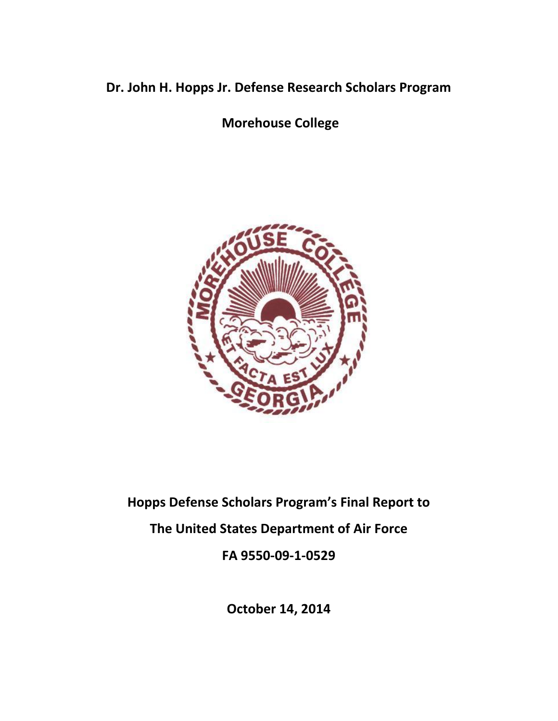## **Dr. John H. Hopps Jr. Defense Research Scholars Program**

**Morehouse College**



## **Hopps Defense Scholars Program's Final Report to The United States Department of Air Force FA 9550-09-1-0529**

**October 14, 2014**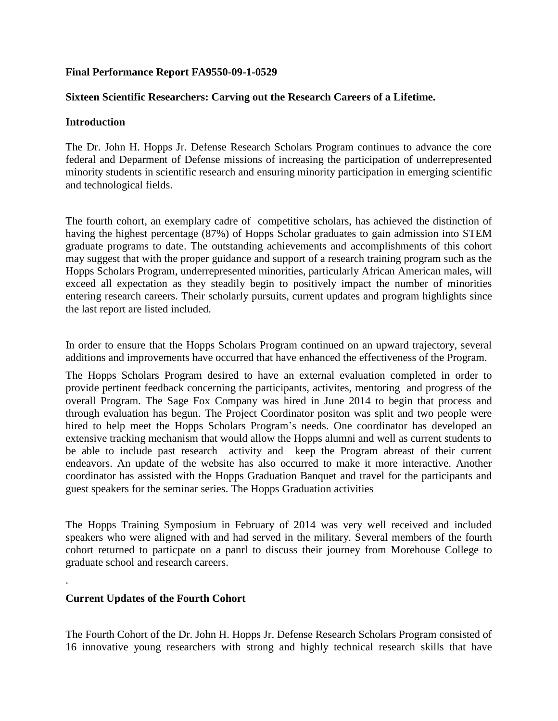#### **Final Performance Report FA9550-09-1-0529**

#### **Sixteen Scientific Researchers: Carving out the Research Careers of a Lifetime.**

#### **Introduction**

The Dr. John H. Hopps Jr. Defense Research Scholars Program continues to advance the core federal and Deparment of Defense missions of increasing the participation of underrepresented minority students in scientific research and ensuring minority participation in emerging scientific and technological fields.

The fourth cohort, an exemplary cadre of competitive scholars, has achieved the distinction of having the highest percentage (87%) of Hopps Scholar graduates to gain admission into STEM graduate programs to date. The outstanding achievements and accomplishments of this cohort may suggest that with the proper guidance and support of a research training program such as the Hopps Scholars Program, underrepresented minorities, particularly African American males, will exceed all expectation as they steadily begin to positively impact the number of minorities entering research careers. Their scholarly pursuits, current updates and program highlights since the last report are listed included.

In order to ensure that the Hopps Scholars Program continued on an upward trajectory, several additions and improvements have occurred that have enhanced the effectiveness of the Program.

The Hopps Scholars Program desired to have an external evaluation completed in order to provide pertinent feedback concerning the participants, activites, mentoring and progress of the overall Program. The Sage Fox Company was hired in June 2014 to begin that process and through evaluation has begun. The Project Coordinator positon was split and two people were hired to help meet the Hopps Scholars Program's needs. One coordinator has developed an extensive tracking mechanism that would allow the Hopps alumni and well as current students to be able to include past research activity and keep the Program abreast of their current endeavors. An update of the website has also occurred to make it more interactive. Another coordinator has assisted with the Hopps Graduation Banquet and travel for the participants and guest speakers for the seminar series. The Hopps Graduation activities

The Hopps Training Symposium in February of 2014 was very well received and included speakers who were aligned with and had served in the military. Several members of the fourth cohort returned to particpate on a panrl to discuss their journey from Morehouse College to graduate school and research careers.

#### **Current Updates of the Fourth Cohort**

.

The Fourth Cohort of the Dr. John H. Hopps Jr. Defense Research Scholars Program consisted of 16 innovative young researchers with strong and highly technical research skills that have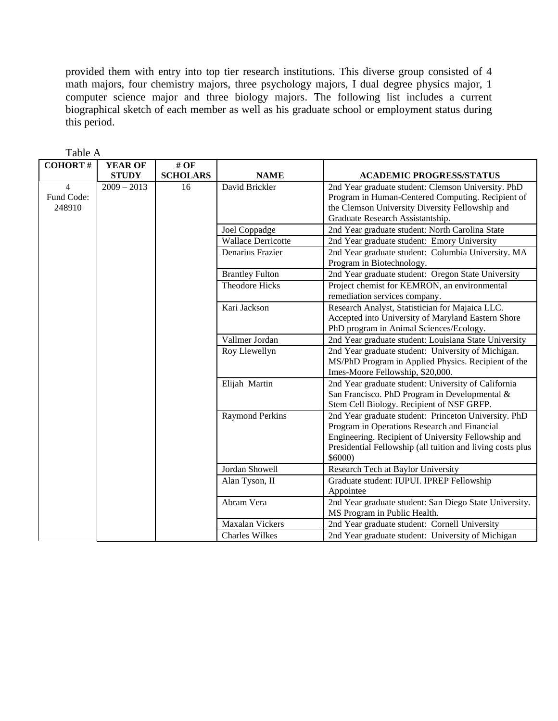provided them with entry into top tier research institutions. This diverse group consisted of 4 math majors, four chemistry majors, three psychology majors, I dual degree physics major, 1 computer science major and three biology majors. The following list includes a current biographical sketch of each member as well as his graduate school or employment status during this period.

| <b>COHORT#</b> | <b>YEAR OF</b> | $#$ OF          |                           |                                                            |
|----------------|----------------|-----------------|---------------------------|------------------------------------------------------------|
|                | <b>STUDY</b>   | <b>SCHOLARS</b> | <b>NAME</b>               | <b>ACADEMIC PROGRESS/STATUS</b>                            |
| 4              | $2009 - 2013$  | 16              | David Brickler            | 2nd Year graduate student: Clemson University. PhD         |
| Fund Code:     |                |                 |                           | Program in Human-Centered Computing. Recipient of          |
| 248910         |                |                 |                           | the Clemson University Diversity Fellowship and            |
|                |                |                 |                           | Graduate Research Assistantship.                           |
|                |                |                 | Joel Coppadge             | 2nd Year graduate student: North Carolina State            |
|                |                |                 | <b>Wallace Derricotte</b> | 2nd Year graduate student: Emory University                |
|                |                |                 | Denarius Frazier          | 2nd Year graduate student: Columbia University. MA         |
|                |                |                 |                           | Program in Biotechnology.                                  |
|                |                |                 | <b>Brantley Fulton</b>    | 2nd Year graduate student: Oregon State University         |
|                |                |                 | <b>Theodore Hicks</b>     | Project chemist for KEMRON, an environmental               |
|                |                |                 |                           | remediation services company.                              |
|                |                |                 | Kari Jackson              | Research Analyst, Statistician for Majaica LLC.            |
|                |                |                 |                           | Accepted into University of Maryland Eastern Shore         |
|                |                |                 |                           | PhD program in Animal Sciences/Ecology.                    |
|                |                |                 | Vallmer Jordan            | 2nd Year graduate student: Louisiana State University      |
|                |                |                 | Roy Llewellyn             | 2nd Year graduate student: University of Michigan.         |
|                |                |                 |                           | MS/PhD Program in Applied Physics. Recipient of the        |
|                |                |                 |                           | Imes-Moore Fellowship, \$20,000.                           |
|                |                |                 | Elijah Martin             | 2nd Year graduate student: University of California        |
|                |                |                 |                           | San Francisco. PhD Program in Developmental &              |
|                |                |                 |                           | Stem Cell Biology. Recipient of NSF GRFP.                  |
|                |                |                 | <b>Raymond Perkins</b>    | 2nd Year graduate student: Princeton University. PhD       |
|                |                |                 |                           | Program in Operations Research and Financial               |
|                |                |                 |                           | Engineering. Recipient of University Fellowship and        |
|                |                |                 |                           | Presidential Fellowship (all tuition and living costs plus |
|                |                |                 |                           | \$6000                                                     |
|                |                |                 | Jordan Showell            | Research Tech at Baylor University                         |
|                |                |                 | Alan Tyson, II            | Graduate student: IUPUI. IPREP Fellowship                  |
|                |                |                 |                           | Appointee                                                  |
|                |                |                 | Abram Vera                | 2nd Year graduate student: San Diego State University.     |
|                |                |                 |                           | MS Program in Public Health.                               |
|                |                |                 | <b>Maxalan Vickers</b>    | 2nd Year graduate student: Cornell University              |
|                |                |                 | <b>Charles Wilkes</b>     | 2nd Year graduate student: University of Michigan          |

Table A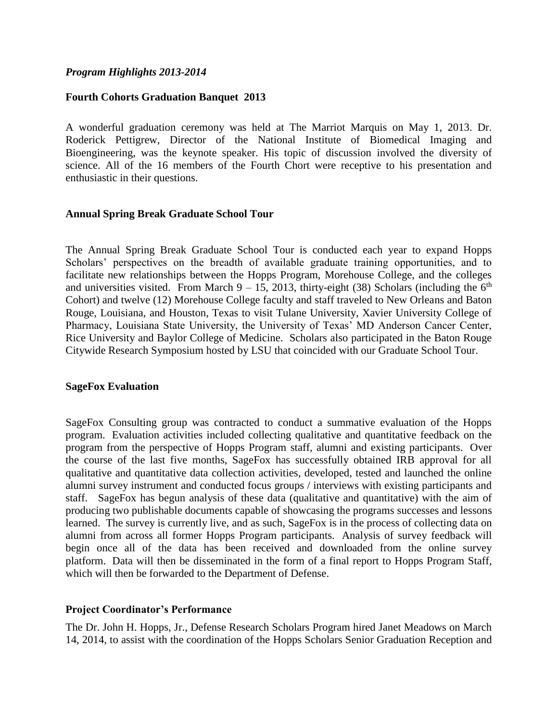#### *Program Highlights 2013-2014*

#### **Fourth Cohorts Graduation Banquet 2013**

A wonderful graduation ceremony was held at The Marriot Marquis on May 1, 2013. Dr. Roderick Pettigrew, Director of the National Institute of Biomedical Imaging and Bioengineering, was the keynote speaker. His topic of discussion involved the diversity of science. All of the 16 members of the Fourth Chort were receptive to his presentation and enthusiastic in their questions.

#### **Annual Spring Break Graduate School Tour**

The Annual Spring Break Graduate School Tour is conducted each year to expand Hopps Scholars' perspectives on the breadth of available graduate training opportunities, and to facilitate new relationships between the Hopps Program, Morehouse College, and the colleges and universities visited. From March  $9 - 15$ , 2013, thirty-eight (38) Scholars (including the  $6<sup>th</sup>$ Cohort) and twelve (12) Morehouse College faculty and staff traveled to New Orleans and Baton Rouge, Louisiana, and Houston, Texas to visit Tulane University, Xavier University College of Pharmacy, Louisiana State University, the University of Texas' MD Anderson Cancer Center, Rice University and Baylor College of Medicine. Scholars also participated in the Baton Rouge Citywide Research Symposium hosted by LSU that coincided with our Graduate School Tour.

#### **SageFox Evaluation**

SageFox Consulting group was contracted to conduct a summative evaluation of the Hopps program. Evaluation activities included collecting qualitative and quantitative feedback on the program from the perspective of Hopps Program staff, alumni and existing participants. Over the course of the last five months, SageFox has successfully obtained IRB approval for all qualitative and quantitative data collection activities, developed, tested and launched the online alumni survey instrument and conducted focus groups / interviews with existing participants and staff. SageFox has begun analysis of these data (qualitative and quantitative) with the aim of producing two publishable documents capable of showcasing the programs successes and lessons learned. The survey is currently live, and as such, SageFox is in the process of collecting data on alumni from across all former Hopps Program participants. Analysis of survey feedback will begin once all of the data has been received and downloaded from the online survey platform. Data will then be disseminated in the form of a final report to Hopps Program Staff, which will then be forwarded to the Department of Defense.

#### **Project Coordinator's Performance**

The Dr. John H. Hopps, Jr., Defense Research Scholars Program hired Janet Meadows on March 14, 2014, to assist with the coordination of the Hopps Scholars Senior Graduation Reception and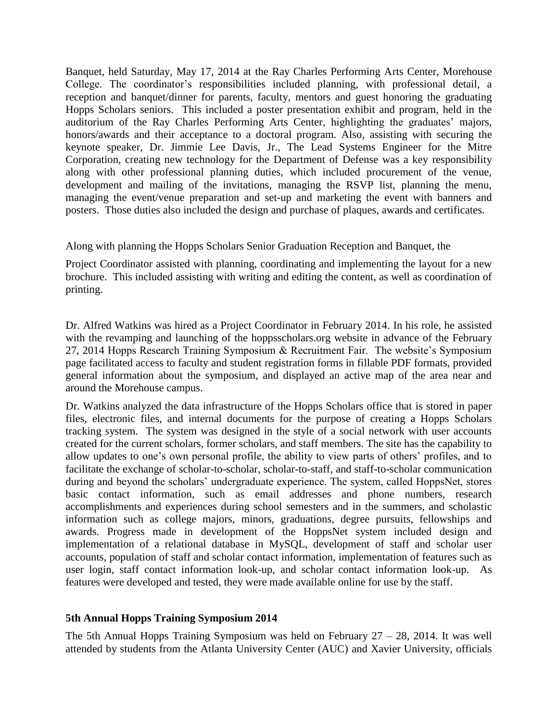Banquet, held Saturday, May 17, 2014 at the Ray Charles Performing Arts Center, Morehouse College. The coordinator's responsibilities included planning, with professional detail, a reception and banquet/dinner for parents, faculty, mentors and guest honoring the graduating Hopps Scholars seniors. This included a poster presentation exhibit and program, held in the auditorium of the Ray Charles Performing Arts Center, highlighting the graduates' majors, honors/awards and their acceptance to a doctoral program. Also, assisting with securing the keynote speaker, Dr. Jimmie Lee Davis, Jr., The Lead Systems Engineer for the Mitre Corporation, creating new technology for the Department of Defense was a key responsibility along with other professional planning duties, which included procurement of the venue, development and mailing of the invitations, managing the RSVP list, planning the menu, managing the event/venue preparation and set-up and marketing the event with banners and posters. Those duties also included the design and purchase of plaques, awards and certificates.

Along with planning the Hopps Scholars Senior Graduation Reception and Banquet, the

Project Coordinator assisted with planning, coordinating and implementing the layout for a new brochure. This included assisting with writing and editing the content, as well as coordination of printing.

Dr. Alfred Watkins was hired as a Project Coordinator in February 2014. In his role, he assisted with the revamping and launching of the hoppsscholars.org website in advance of the February 27, 2014 Hopps Research Training Symposium & Recruitment Fair. The website's Symposium page facilitated access to faculty and student registration forms in fillable PDF formats, provided general information about the symposium, and displayed an active map of the area near and around the Morehouse campus.

Dr. Watkins analyzed the data infrastructure of the Hopps Scholars office that is stored in paper files, electronic files, and internal documents for the purpose of creating a Hopps Scholars tracking system. The system was designed in the style of a social network with user accounts created for the current scholars, former scholars, and staff members. The site has the capability to allow updates to one's own personal profile, the ability to view parts of others' profiles, and to facilitate the exchange of scholar-to-scholar, scholar-to-staff, and staff-to-scholar communication during and beyond the scholars' undergraduate experience. The system, called HoppsNet, stores basic contact information, such as email addresses and phone numbers, research accomplishments and experiences during school semesters and in the summers, and scholastic information such as college majors, minors, graduations, degree pursuits, fellowships and awards. Progress made in development of the HoppsNet system included design and implementation of a relational database in MySQL, development of staff and scholar user accounts, population of staff and scholar contact information, implementation of features such as user login, staff contact information look-up, and scholar contact information look-up. As features were developed and tested, they were made available online for use by the staff.

#### **5th Annual Hopps Training Symposium 2014**

The 5th Annual Hopps Training Symposium was held on February  $27 - 28$ , 2014. It was well attended by students from the Atlanta University Center (AUC) and Xavier University, officials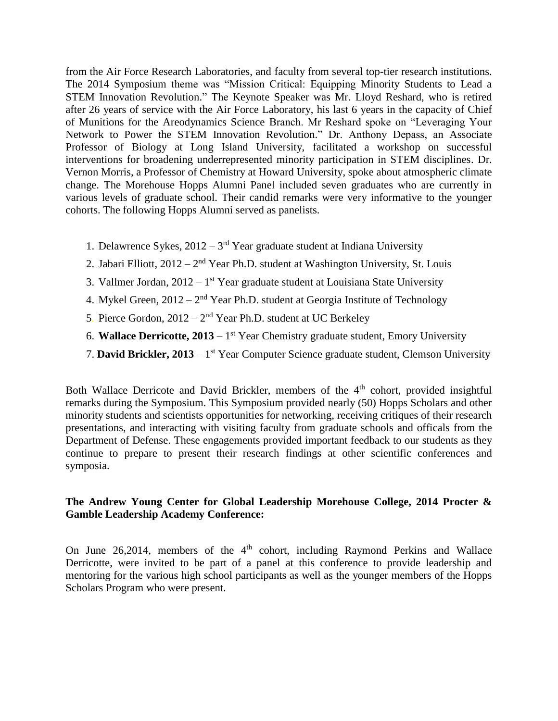from the Air Force Research Laboratories, and faculty from several top-tier research institutions. The 2014 Symposium theme was "Mission Critical: Equipping Minority Students to Lead a STEM Innovation Revolution." The Keynote Speaker was Mr. Lloyd Reshard, who is retired after 26 years of service with the Air Force Laboratory, his last 6 years in the capacity of Chief of Munitions for the Areodynamics Science Branch. Mr Reshard spoke on "Leveraging Your Network to Power the STEM Innovation Revolution." Dr. Anthony Depass, an Associate Professor of Biology at Long Island University, facilitated a workshop on successful interventions for broadening underrepresented minority participation in STEM disciplines. Dr. Vernon Morris, a Professor of Chemistry at Howard University, spoke about atmospheric climate change. The Morehouse Hopps Alumni Panel included seven graduates who are currently in various levels of graduate school. Their candid remarks were very informative to the younger cohorts. The following Hopps Alumni served as panelists.

- 1. Delawrence Sykes,  $2012 3<sup>rd</sup>$  Year graduate student at Indiana University
- 2. Jabari Elliott,  $2012 2<sup>nd</sup>$  Year Ph.D. student at Washington University, St. Louis
- 3. Vallmer Jordan,  $2012 1<sup>st</sup>$  Year graduate student at Louisiana State University
- 4. Mykel Green,  $2012 2<sup>nd</sup>$  Year Ph.D. student at Georgia Institute of Technology
- 5. Pierce Gordon,  $2012 2<sup>nd</sup>$  Year Ph.D. student at UC Berkeley
- 6. **Wallace Derricotte, 2013** 1 st Year Chemistry graduate student, Emory University
- 7. David Brickler, 2013 1<sup>st</sup> Year Computer Science graduate student, Clemson University

Both Wallace Derricote and David Brickler, members of the 4<sup>th</sup> cohort, provided insightful remarks during the Symposium. This Symposium provided nearly (50) Hopps Scholars and other minority students and scientists opportunities for networking, receiving critiques of their research presentations, and interacting with visiting faculty from graduate schools and officals from the Department of Defense. These engagements provided important feedback to our students as they continue to prepare to present their research findings at other scientific conferences and symposia.

#### **The Andrew Young Center for Global Leadership Morehouse College, 2014 Procter & Gamble Leadership Academy Conference:**

On June 26,2014, members of the 4<sup>th</sup> cohort, including Raymond Perkins and Wallace Derricotte, were invited to be part of a panel at this conference to provide leadership and mentoring for the various high school participants as well as the younger members of the Hopps Scholars Program who were present.